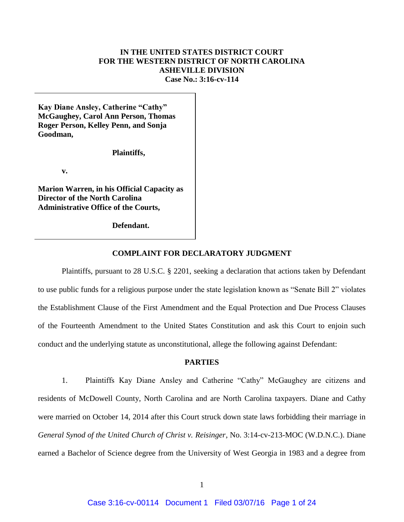## **IN THE UNITED STATES DISTRICT COURT FOR THE WESTERN DISTRICT OF NORTH CAROLINA ASHEVILLE DIVISION Case No.: 3:16-cv-114**

**Kay Diane Ansley, Catherine "Cathy" McGaughey, Carol Ann Person, Thomas Roger Person, Kelley Penn, and Sonja Goodman,**

**Plaintiffs,**

**v.**

**Marion Warren, in his Official Capacity as Director of the North Carolina Administrative Office of the Courts,** 

**Defendant.**

#### **COMPLAINT FOR DECLARATORY JUDGMENT**

Plaintiffs, pursuant to 28 U.S.C. § 2201, seeking a declaration that actions taken by Defendant to use public funds for a religious purpose under the state legislation known as "Senate Bill 2" violates the Establishment Clause of the First Amendment and the Equal Protection and Due Process Clauses of the Fourteenth Amendment to the United States Constitution and ask this Court to enjoin such conduct and the underlying statute as unconstitutional, allege the following against Defendant:

### **PARTIES**

1. Plaintiffs Kay Diane Ansley and Catherine "Cathy" McGaughey are citizens and residents of McDowell County, North Carolina and are North Carolina taxpayers. Diane and Cathy were married on October 14, 2014 after this Court struck down state laws forbidding their marriage in *General Synod of the United Church of Christ v. Reisinger*, No. 3:14-cv-213-MOC (W.D.N.C.). Diane earned a Bachelor of Science degree from the University of West Georgia in 1983 and a degree from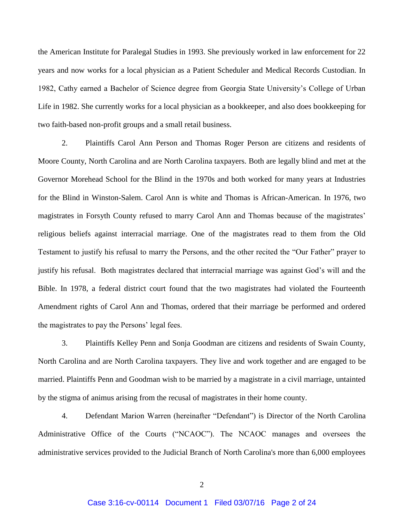the American Institute for Paralegal Studies in 1993. She previously worked in law enforcement for 22 years and now works for a local physician as a Patient Scheduler and Medical Records Custodian. In 1982, Cathy earned a Bachelor of Science degree from Georgia State University's College of Urban Life in 1982. She currently works for a local physician as a bookkeeper, and also does bookkeeping for two faith-based non-profit groups and a small retail business.

2. Plaintiffs Carol Ann Person and Thomas Roger Person are citizens and residents of Moore County, North Carolina and are North Carolina taxpayers. Both are legally blind and met at the Governor Morehead School for the Blind in the 1970s and both worked for many years at Industries for the Blind in Winston-Salem. Carol Ann is white and Thomas is African-American. In 1976, two magistrates in Forsyth County refused to marry Carol Ann and Thomas because of the magistrates' religious beliefs against interracial marriage. One of the magistrates read to them from the Old Testament to justify his refusal to marry the Persons, and the other recited the "Our Father" prayer to justify his refusal. Both magistrates declared that interracial marriage was against God's will and the Bible. In 1978, a federal district court found that the two magistrates had violated the Fourteenth Amendment rights of Carol Ann and Thomas, ordered that their marriage be performed and ordered the magistrates to pay the Persons' legal fees.

3. Plaintiffs Kelley Penn and Sonja Goodman are citizens and residents of Swain County, North Carolina and are North Carolina taxpayers. They live and work together and are engaged to be married. Plaintiffs Penn and Goodman wish to be married by a magistrate in a civil marriage, untainted by the stigma of animus arising from the recusal of magistrates in their home county.

4. Defendant Marion Warren (hereinafter "Defendant") is Director of the North Carolina Administrative Office of the Courts ("NCAOC"). The NCAOC manages and oversees the administrative services provided to the Judicial Branch of North Carolina's more than 6,000 employees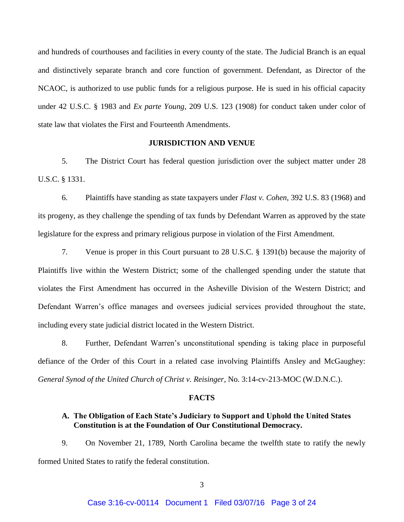and hundreds of courthouses and facilities in every county of the state. The Judicial Branch is an equal and distinctively separate branch and core function of government. Defendant, as Director of the NCAOC, is authorized to use public funds for a religious purpose. He is sued in his official capacity under 42 U.S.C. § 1983 and *Ex parte Young*, 209 U.S. 123 (1908) for conduct taken under color of state law that violates the First and Fourteenth Amendments.

### **JURISDICTION AND VENUE**

5. The District Court has federal question jurisdiction over the subject matter under 28 U.S.C. § 1331.

6. Plaintiffs have standing as state taxpayers under *Flast v. Cohen,* 392 U.S. 83 (1968) and its progeny, as they challenge the spending of tax funds by Defendant Warren as approved by the state legislature for the express and primary religious purpose in violation of the First Amendment.

7. Venue is proper in this Court pursuant to 28 U.S.C. § 1391(b) because the majority of Plaintiffs live within the Western District; some of the challenged spending under the statute that violates the First Amendment has occurred in the Asheville Division of the Western District; and Defendant Warren's office manages and oversees judicial services provided throughout the state, including every state judicial district located in the Western District.

8. Further, Defendant Warren's unconstitutional spending is taking place in purposeful defiance of the Order of this Court in a related case involving Plaintiffs Ansley and McGaughey: *General Synod of the United Church of Christ v. Reisinger*, No. 3:14-cv-213-MOC (W.D.N.C.).

#### **FACTS**

### **A. The Obligation of Each State's Judiciary to Support and Uphold the United States Constitution is at the Foundation of Our Constitutional Democracy.**

9. On November 21, 1789, North Carolina became the twelfth state to ratify the newly formed United States to ratify the federal constitution.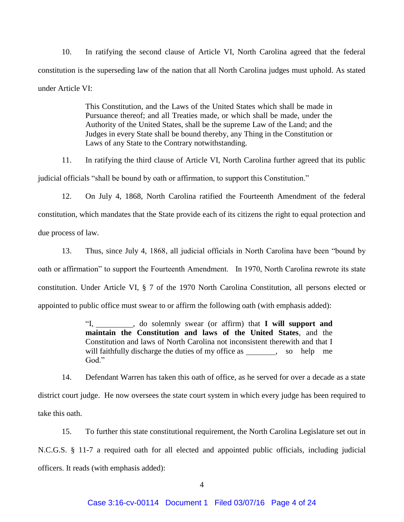10. In ratifying the second clause of Article VI, North Carolina agreed that the federal constitution is the superseding law of the nation that all North Carolina judges must uphold. As stated under Article VI:

> This Constitution, and the Laws of the United States which shall be made in Pursuance thereof; and all Treaties made, or which shall be made, under the Authority of the United States, shall be the supreme Law of the Land; and the Judges in every State shall be bound thereby, any Thing in the Constitution or Laws of any State to the Contrary notwithstanding.

11. In ratifying the third clause of Article VI, North Carolina further agreed that its public judicial officials "shall be bound by oath or affirmation, to support this Constitution."

12. On July 4, 1868, North Carolina ratified the Fourteenth Amendment of the federal constitution, which mandates that the State provide each of its citizens the right to equal protection and due process of law.

13. Thus, since July 4, 1868, all judicial officials in North Carolina have been "bound by oath or affirmation" to support the Fourteenth Amendment. In 1970, North Carolina rewrote its state constitution. Under Article VI, § 7 of the 1970 North Carolina Constitution, all persons elected or appointed to public office must swear to or affirm the following oath (with emphasis added):

> "I, \_\_\_\_\_\_\_\_, do solemnly swear (or affirm) that **I will support and maintain the Constitution and laws of the United States**, and the Constitution and laws of North Carolina not inconsistent therewith and that I will faithfully discharge the duties of my office as , so help me God."

14. Defendant Warren has taken this oath of office, as he served for over a decade as a state district court judge. He now oversees the state court system in which every judge has been required to take this oath.

15. To further this state constitutional requirement, the North Carolina Legislature set out in N.C.G.S. § 11-7 a required oath for all elected and appointed public officials, including judicial officers. It reads (with emphasis added):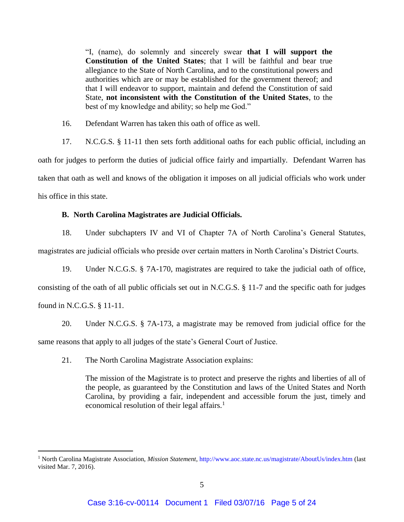"I, (name), do solemnly and sincerely swear **that I will support the Constitution of the United States**; that I will be faithful and bear true allegiance to the State of North Carolina, and to the constitutional powers and authorities which are or may be established for the government thereof; and that I will endeavor to support, maintain and defend the Constitution of said State, **not inconsistent with the Constitution of the United States**, to the best of my knowledge and ability; so help me God."

16. Defendant Warren has taken this oath of office as well.

17. N.C.G.S. § 11-11 then sets forth additional oaths for each public official, including an oath for judges to perform the duties of judicial office fairly and impartially. Defendant Warren has taken that oath as well and knows of the obligation it imposes on all judicial officials who work under his office in this state.

## **B. North Carolina Magistrates are Judicial Officials.**

18. Under subchapters IV and VI of Chapter 7A of North Carolina's General Statutes, magistrates are judicial officials who preside over certain matters in North Carolina's District Courts.

19. Under N.C.G.S. § 7A-170, magistrates are required to take the judicial oath of office, consisting of the oath of all public officials set out in N.C.G.S. § 11-7 and the specific oath for judges found in N.C.G.S. § 11-11.

20. Under N.C.G.S. § 7A-173, a magistrate may be removed from judicial office for the same reasons that apply to all judges of the state's General Court of Justice.

21. The North Carolina Magistrate Association explains:

 $\overline{a}$ 

The mission of the Magistrate is to protect and preserve the rights and liberties of all of the people, as guaranteed by the Constitution and laws of the United States and North Carolina, by providing a fair, independent and accessible forum the just, timely and economical resolution of their legal affairs. $<sup>1</sup>$ </sup>

<sup>1</sup> North Carolina Magistrate Association, *Mission Statement*,<http://www.aoc.state.nc.us/magistrate/AboutUs/index.htm> (last visited Mar. 7, 2016).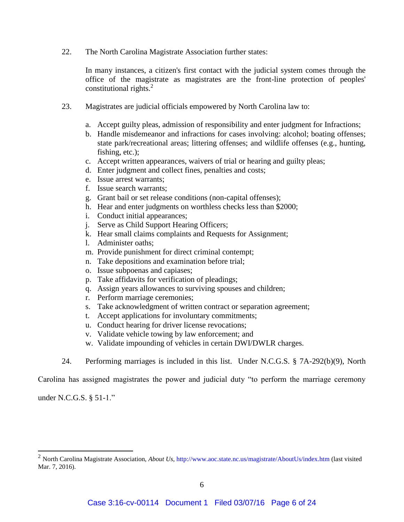22. The North Carolina Magistrate Association further states:

In many instances, a citizen's first contact with the judicial system comes through the office of the magistrate as magistrates are the front-line protection of peoples' constitutional rights.<sup>2</sup>

- 23. Magistrates are judicial officials empowered by North Carolina law to:
	- a. Accept guilty pleas, admission of responsibility and enter judgment for Infractions;
	- b. Handle misdemeanor and infractions for cases involving: alcohol; boating offenses; state park/recreational areas; littering offenses; and wildlife offenses (e.g., hunting, fishing, etc.);
	- c. Accept written appearances, waivers of trial or hearing and guilty pleas;
	- d. Enter judgment and collect fines, penalties and costs;
	- e. Issue arrest warrants;
	- f. Issue search warrants;
	- g. Grant bail or set release conditions (non-capital offenses);
	- h. Hear and enter judgments on worthless checks less than \$2000;
	- i. Conduct initial appearances;
	- j. Serve as Child Support Hearing Officers;
	- k. Hear small claims complaints and Requests for Assignment;
	- l. Administer oaths;
	- m. Provide punishment for direct criminal contempt;
	- n. Take depositions and examination before trial;
	- o. Issue subpoenas and capiases;
	- p. Take affidavits for verification of pleadings;
	- q. Assign years allowances to surviving spouses and children;
	- r. Perform marriage ceremonies;
	- s. Take acknowledgment of written contract or separation agreement;
	- t. Accept applications for involuntary commitments;
	- u. Conduct hearing for driver license revocations;
	- v. Validate vehicle towing by law enforcement; and
	- w. Validate impounding of vehicles in certain DWI/DWLR charges.
- 24. Performing marriages is included in this list. Under N.C.G.S. § 7A-292(b)(9), North

Carolina has assigned magistrates the power and judicial duty "to perform the marriage ceremony

under N.C.G.S. § 51-1."

<sup>2</sup> North Carolina Magistrate Association, *About Us*,<http://www.aoc.state.nc.us/magistrate/AboutUs/index.htm> (last visited Mar. 7, 2016).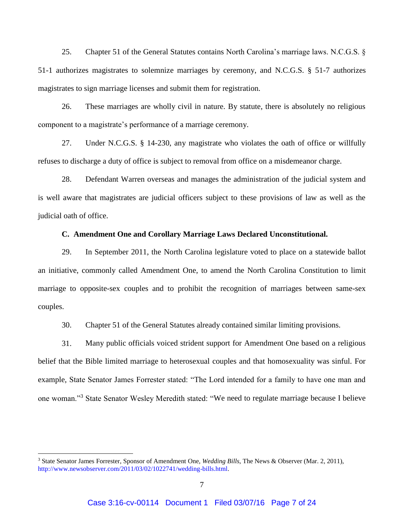25. Chapter 51 of the General Statutes contains North Carolina's marriage laws. N.C.G.S. § 51-1 authorizes magistrates to solemnize marriages by ceremony, and N.C.G.S. § 51-7 authorizes magistrates to sign marriage licenses and submit them for registration.

26. These marriages are wholly civil in nature. By statute, there is absolutely no religious component to a magistrate's performance of a marriage ceremony.

27. Under N.C.G.S. § 14-230, any magistrate who violates the oath of office or willfully refuses to discharge a duty of office is subject to removal from office on a misdemeanor charge.

28. Defendant Warren overseas and manages the administration of the judicial system and is well aware that magistrates are judicial officers subject to these provisions of law as well as the judicial oath of office.

### **C. Amendment One and Corollary Marriage Laws Declared Unconstitutional.**

29. In September 2011, the North Carolina legislature voted to place on a statewide ballot an initiative, commonly called Amendment One, to amend the North Carolina Constitution to limit marriage to opposite-sex couples and to prohibit the recognition of marriages between same-sex couples.

30. Chapter 51 of the General Statutes already contained similar limiting provisions.

31. Many public officials voiced strident support for Amendment One based on a religious belief that the Bible limited marriage to heterosexual couples and that homosexuality was sinful. For example, State Senator James Forrester stated: "The Lord intended for a family to have one man and one woman."<sup>3</sup> State Senator Wesley Meredith stated: "We need to regulate marriage because I believe

<sup>3</sup> State Senator James Forrester, Sponsor of Amendment One, *Wedding Bills*, The News & Observer (Mar. 2, 2011), [http://www.newsobserver.com/2011/03/02/1022741/wedding-bills.html.](http://www.newsobserver.com/2011/03/02/1022741/wedding-bills.html)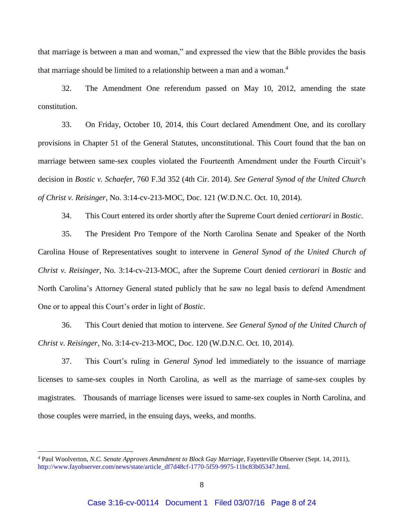that marriage is between a man and woman," and expressed the view that the Bible provides the basis that marriage should be limited to a relationship between a man and a woman.<sup>4</sup>

32. The Amendment One referendum passed on May 10, 2012, amending the state constitution.

33. On Friday, October 10, 2014, this Court declared Amendment One, and its corollary provisions in Chapter 51 of the General Statutes, unconstitutional. This Court found that the ban on marriage between same-sex couples violated the Fourteenth Amendment under the Fourth Circuit's decision in *Bostic v. Schaefer*, 760 F.3d 352 (4th Cir. 2014). *See General Synod of the United Church of Christ v. Reisinger*, No. 3:14-cv-213-MOC, Doc. 121 (W.D.N.C. Oct. 10, 2014).

34. This Court entered its order shortly after the Supreme Court denied *certiorari* in *Bostic*.

35. The President Pro Tempore of the North Carolina Senate and Speaker of the North Carolina House of Representatives sought to intervene in *General Synod of the United Church of Christ v. Reisinger*, No. 3:14-cv-213-MOC, after the Supreme Court denied *certiorari* in *Bostic* and North Carolina's Attorney General stated publicly that he saw no legal basis to defend Amendment One or to appeal this Court's order in light of *Bostic*.

36. This Court denied that motion to intervene. *See General Synod of the United Church of Christ v. Reisinger*, No. 3:14-cv-213-MOC, Doc. 120 (W.D.N.C. Oct. 10, 2014).

37. This Court's ruling in *General Synod* led immediately to the issuance of marriage licenses to same-sex couples in North Carolina, as well as the marriage of same-sex couples by magistrates. Thousands of marriage licenses were issued to same-sex couples in North Carolina, and those couples were married, in the ensuing days, weeks, and months.

<sup>4</sup> Paul Woolverton, *N.C. Senate Approves Amendment to Block Gay Marriage*, Fayetteville Observer (Sept. 14, 2011), [http://www.fayobserver.com/news/state/article\\_df7d48cf-1770-5f59-9975-11bc83b05347.html.](http://www.fayobserver.com/news/state/article_df7d48cf-1770-5f59-9975-11bc83b05347.html)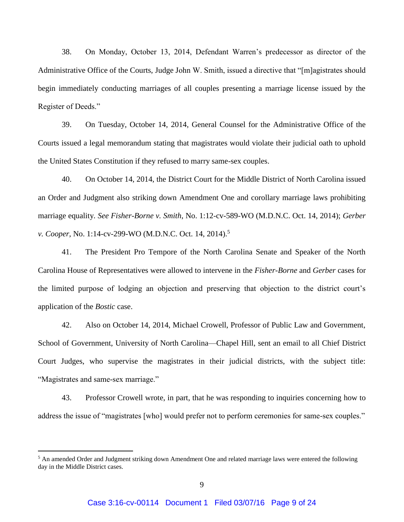38. On Monday, October 13, 2014, Defendant Warren's predecessor as director of the Administrative Office of the Courts, Judge John W. Smith, issued a directive that "[m]agistrates should begin immediately conducting marriages of all couples presenting a marriage license issued by the Register of Deeds."

39. On Tuesday, October 14, 2014, General Counsel for the Administrative Office of the Courts issued a legal memorandum stating that magistrates would violate their judicial oath to uphold the United States Constitution if they refused to marry same-sex couples.

40. On October 14, 2014, the District Court for the Middle District of North Carolina issued an Order and Judgment also striking down Amendment One and corollary marriage laws prohibiting marriage equality*. See Fisher-Borne v. Smith*, No. 1:12-cv-589-WO (M.D.N.C. Oct. 14, 2014); *Gerber v. Cooper*, No. 1:14-cv-299-WO (M.D.N.C. Oct. 14, 2014).<sup>5</sup>

41. The President Pro Tempore of the North Carolina Senate and Speaker of the North Carolina House of Representatives were allowed to intervene in the *Fisher-Borne* and *Gerber* cases for the limited purpose of lodging an objection and preserving that objection to the district court's application of the *Bostic* case.

42. Also on October 14, 2014, Michael Crowell, Professor of Public Law and Government, School of Government, University of North Carolina—Chapel Hill, sent an email to all Chief District Court Judges, who supervise the magistrates in their judicial districts, with the subject title: "Magistrates and same-sex marriage."

43. Professor Crowell wrote, in part, that he was responding to inquiries concerning how to address the issue of "magistrates [who] would prefer not to perform ceremonies for same-sex couples."

<sup>&</sup>lt;sup>5</sup> An amended Order and Judgment striking down Amendment One and related marriage laws were entered the following day in the Middle District cases.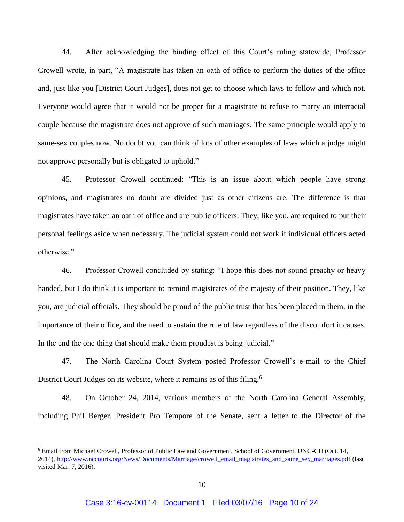44. After acknowledging the binding effect of this Court's ruling statewide, Professor Crowell wrote, in part, "A magistrate has taken an oath of office to perform the duties of the office and, just like you [District Court Judges], does not get to choose which laws to follow and which not. Everyone would agree that it would not be proper for a magistrate to refuse to marry an interracial couple because the magistrate does not approve of such marriages. The same principle would apply to same-sex couples now. No doubt you can think of lots of other examples of laws which a judge might not approve personally but is obligated to uphold."

45. Professor Crowell continued: "This is an issue about which people have strong opinions, and magistrates no doubt are divided just as other citizens are. The difference is that magistrates have taken an oath of office and are public officers. They, like you, are required to put their personal feelings aside when necessary. The judicial system could not work if individual officers acted otherwise."

46. Professor Crowell concluded by stating: "I hope this does not sound preachy or heavy handed, but I do think it is important to remind magistrates of the majesty of their position. They, like you, are judicial officials. They should be proud of the public trust that has been placed in them, in the importance of their office, and the need to sustain the rule of law regardless of the discomfort it causes. In the end the one thing that should make them proudest is being judicial."

47. The North Carolina Court System posted Professor Crowell's e-mail to the Chief District Court Judges on its website, where it remains as of this filing.<sup>6</sup>

48. On October 24, 2014, various members of the North Carolina General Assembly, including Phil Berger, President Pro Tempore of the Senate, sent a letter to the Director of the

<sup>6</sup> Email from Michael Crowell, Professor of Public Law and Government, School of Government, UNC-CH (Oct. 14, 2014), [http://www.nccourts.org/News/Documents/Marriage/crowell\\_email\\_magistrates\\_and\\_same\\_sex\\_marriages.pdf](http://www.nccourts.org/News/Documents/Marriage/crowell_email_magistrates_and_same_sex_marriages.pdf) (last visited Mar. 7, 2016).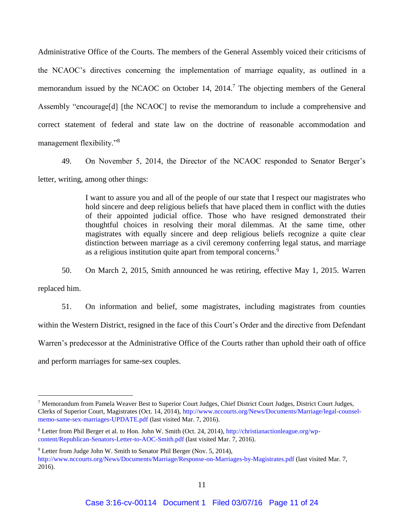Administrative Office of the Courts. The members of the General Assembly voiced their criticisms of the NCAOC's directives concerning the implementation of marriage equality, as outlined in a memorandum issued by the NCAOC on October 14, 2014.<sup>7</sup> The objecting members of the General Assembly "encourage[d] [the NCAOC] to revise the memorandum to include a comprehensive and correct statement of federal and state law on the doctrine of reasonable accommodation and management flexibility."<sup>8</sup>

49. On November 5, 2014, the Director of the NCAOC responded to Senator Berger's letter, writing, among other things:

> I want to assure you and all of the people of our state that I respect our magistrates who hold sincere and deep religious beliefs that have placed them in conflict with the duties of their appointed judicial office. Those who have resigned demonstrated their thoughtful choices in resolving their moral dilemmas. At the same time, other magistrates with equally sincere and deep religious beliefs recognize a quite clear distinction between marriage as a civil ceremony conferring legal status, and marriage as a religious institution quite apart from temporal concerns.<sup>9</sup>

50. On March 2, 2015, Smith announced he was retiring, effective May 1, 2015. Warren replaced him.

51. On information and belief, some magistrates, including magistrates from counties within the Western District, resigned in the face of this Court's Order and the directive from Defendant Warren's predecessor at the Administrative Office of the Courts rather than uphold their oath of office and perform marriages for same-sex couples.

<sup>7</sup> Memorandum from Pamela Weaver Best to Superior Court Judges, Chief District Court Judges, District Court Judges, Clerks of Superior Court, Magistrates (Oct. 14, 2014), [http://www.nccourts.org/News/Documents/Marriage/legal-counsel](http://www.nccourts.org/News/Documents/Marriage/legal-counsel-memo-same-sex-marriages-UPDATE.pdf)[memo-same-sex-marriages-UPDATE.pdf](http://www.nccourts.org/News/Documents/Marriage/legal-counsel-memo-same-sex-marriages-UPDATE.pdf) (last visited Mar. 7, 2016).

<sup>8</sup> Letter from Phil Berger et al. to Hon. John W. Smith (Oct. 24, 2014)[, http://christianactionleague.org/wp](http://christianactionleague.org/wp-content/Republican-Senators-Letter-to-AOC-Smith.pdf)[content/Republican-Senators-Letter-to-AOC-Smith.pdf](http://christianactionleague.org/wp-content/Republican-Senators-Letter-to-AOC-Smith.pdf) (last visited Mar. 7, 2016).

<sup>&</sup>lt;sup>9</sup> Letter from Judge John W. Smith to Senator Phil Berger (Nov. 5, 2014),

<http://www.nccourts.org/News/Documents/Marriage/Response-on-Marriages-by-Magistrates.pdf> (last visited Mar. 7, 2016).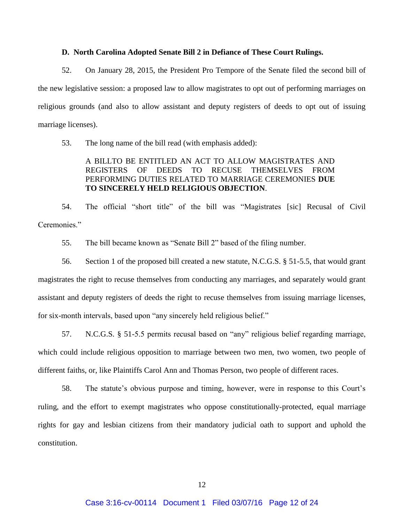### **D. North Carolina Adopted Senate Bill 2 in Defiance of These Court Rulings.**

52. On January 28, 2015, the President Pro Tempore of the Senate filed the second bill of the new legislative session: a proposed law to allow magistrates to opt out of performing marriages on religious grounds (and also to allow assistant and deputy registers of deeds to opt out of issuing marriage licenses).

53. The long name of the bill read (with emphasis added):

# A BILLTO BE ENTITLED AN ACT TO ALLOW MAGISTRATES AND REGISTERS OF DEEDS TO RECUSE THEMSELVES FROM PERFORMING DUTIES RELATED TO MARRIAGE CEREMONIES **DUE TO SINCERELY HELD RELIGIOUS OBJECTION**.

54. The official "short title" of the bill was "Magistrates [sic] Recusal of Civil Ceremonies<sup>"</sup>

55. The bill became known as "Senate Bill 2" based of the filing number.

56. Section 1 of the proposed bill created a new statute, N.C.G.S. § 51-5.5, that would grant magistrates the right to recuse themselves from conducting any marriages, and separately would grant assistant and deputy registers of deeds the right to recuse themselves from issuing marriage licenses, for six-month intervals, based upon "any sincerely held religious belief."

57. N.C.G.S. § 51-5.5 permits recusal based on "any" religious belief regarding marriage, which could include religious opposition to marriage between two men, two women, two people of different faiths, or, like Plaintiffs Carol Ann and Thomas Person, two people of different races.

58. The statute's obvious purpose and timing, however, were in response to this Court's ruling, and the effort to exempt magistrates who oppose constitutionally-protected, equal marriage rights for gay and lesbian citizens from their mandatory judicial oath to support and uphold the constitution.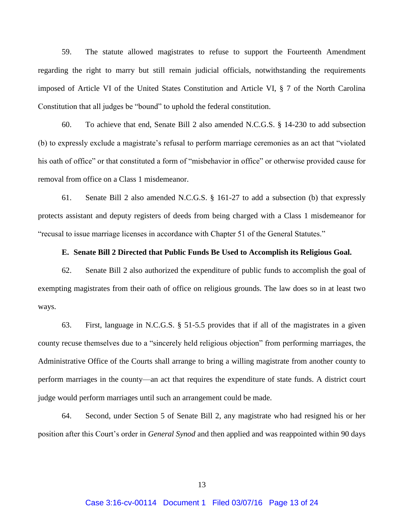59. The statute allowed magistrates to refuse to support the Fourteenth Amendment regarding the right to marry but still remain judicial officials, notwithstanding the requirements imposed of Article VI of the United States Constitution and Article VI, § 7 of the North Carolina Constitution that all judges be "bound" to uphold the federal constitution.

60. To achieve that end, Senate Bill 2 also amended N.C.G.S. § 14-230 to add subsection (b) to expressly exclude a magistrate's refusal to perform marriage ceremonies as an act that "violated his oath of office" or that constituted a form of "misbehavior in office" or otherwise provided cause for removal from office on a Class 1 misdemeanor.

61. Senate Bill 2 also amended N.C.G.S. § 161-27 to add a subsection (b) that expressly protects assistant and deputy registers of deeds from being charged with a Class 1 misdemeanor for "recusal to issue marriage licenses in accordance with Chapter 51 of the General Statutes."

### **E. Senate Bill 2 Directed that Public Funds Be Used to Accomplish its Religious Goal.**

62. Senate Bill 2 also authorized the expenditure of public funds to accomplish the goal of exempting magistrates from their oath of office on religious grounds. The law does so in at least two ways.

63. First, language in N.C.G.S. § 51-5.5 provides that if all of the magistrates in a given county recuse themselves due to a "sincerely held religious objection" from performing marriages, the Administrative Office of the Courts shall arrange to bring a willing magistrate from another county to perform marriages in the county—an act that requires the expenditure of state funds. A district court judge would perform marriages until such an arrangement could be made.

64. Second, under Section 5 of Senate Bill 2, any magistrate who had resigned his or her position after this Court's order in *General Synod* and then applied and was reappointed within 90 days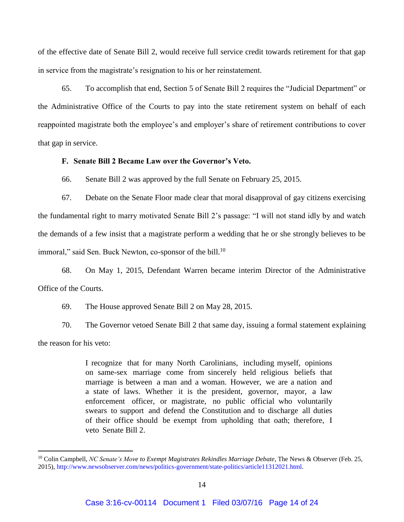of the effective date of Senate Bill 2, would receive full service credit towards retirement for that gap in service from the magistrate's resignation to his or her reinstatement.

65. To accomplish that end, Section 5 of Senate Bill 2 requires the "Judicial Department" or the Administrative Office of the Courts to pay into the state retirement system on behalf of each reappointed magistrate both the employee's and employer's share of retirement contributions to cover that gap in service.

#### **F. Senate Bill 2 Became Law over the Governor's Veto.**

66. Senate Bill 2 was approved by the full Senate on February 25, 2015.

67. Debate on the Senate Floor made clear that moral disapproval of gay citizens exercising the fundamental right to marry motivated Senate Bill 2's passage: "I will not stand idly by and watch the demands of a few insist that a magistrate perform a wedding that he or she strongly believes to be immoral," said Sen. Buck Newton, co-sponsor of the bill.<sup>10</sup>

68. On May 1, 2015, Defendant Warren became interim Director of the Administrative Office of the Courts.

69. The House approved Senate Bill 2 on May 28, 2015.

 $\overline{a}$ 

70. The Governor vetoed Senate Bill 2 that same day, issuing a formal statement explaining the reason for his veto:

> I recognize that for many North Carolinians, including myself, opinions on same-sex marriage come from sincerely held religious beliefs that marriage is between a man and a woman. However, we are a nation and a state of laws. Whether it is the president, governor, mayor, a law enforcement officer, or magistrate, no public official who voluntarily swears to support and defend the Constitution and to discharge all duties of their office should be exempt from upholding that oath; therefore, I veto Senate Bill 2.

<sup>&</sup>lt;sup>10</sup> Colin Campbell, *NC Senate's Move to Exempt Magistrates Rekindles Marriage Debate*, The News & Observer (Feb. 25, 2015), [http://www.newsobserver.com/news/politics-government/state-politics/article11312021.html.](http://www.newsobserver.com/news/politics-government/state-politics/article11312021.html)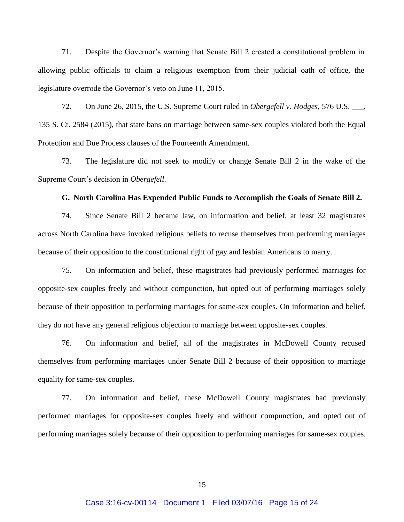71. Despite the Governor's warning that Senate Bill 2 created a constitutional problem in allowing public officials to claim a religious exemption from their judicial oath of office, the legislature overrode the Governor's veto on June 11, 2015.

72. On June 26, 2015, the U.S. Supreme Court ruled in *Obergefell v. Hodges,* 576 U.S. \_\_\_, 135 S. Ct. 2584 (2015), that state bans on marriage between same-sex couples violated both the Equal Protection and Due Process clauses of the Fourteenth Amendment.

73. The legislature did not seek to modify or change Senate Bill 2 in the wake of the Supreme Court's decision in *Obergefell*.

#### **G. North Carolina Has Expended Public Funds to Accomplish the Goals of Senate Bill 2.**

74. Since Senate Bill 2 became law, on information and belief, at least 32 magistrates across North Carolina have invoked religious beliefs to recuse themselves from performing marriages because of their opposition to the constitutional right of gay and lesbian Americans to marry.

75. On information and belief, these magistrates had previously performed marriages for opposite-sex couples freely and without compunction, but opted out of performing marriages solely because of their opposition to performing marriages for same-sex couples. On information and belief, they do not have any general religious objection to marriage between opposite-sex couples.

76. On information and belief, all of the magistrates in McDowell County recused themselves from performing marriages under Senate Bill 2 because of their opposition to marriage equality for same-sex couples.

77. On information and belief, these McDowell County magistrates had previously performed marriages for opposite-sex couples freely and without compunction, and opted out of performing marriages solely because of their opposition to performing marriages for same-sex couples.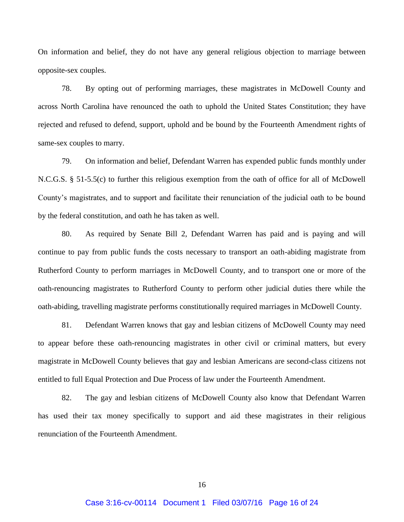On information and belief, they do not have any general religious objection to marriage between opposite-sex couples.

78. By opting out of performing marriages, these magistrates in McDowell County and across North Carolina have renounced the oath to uphold the United States Constitution; they have rejected and refused to defend, support, uphold and be bound by the Fourteenth Amendment rights of same-sex couples to marry.

79. On information and belief, Defendant Warren has expended public funds monthly under N.C.G.S. § 51-5.5(c) to further this religious exemption from the oath of office for all of McDowell County's magistrates, and to support and facilitate their renunciation of the judicial oath to be bound by the federal constitution, and oath he has taken as well.

80. As required by Senate Bill 2, Defendant Warren has paid and is paying and will continue to pay from public funds the costs necessary to transport an oath-abiding magistrate from Rutherford County to perform marriages in McDowell County, and to transport one or more of the oath-renouncing magistrates to Rutherford County to perform other judicial duties there while the oath-abiding, travelling magistrate performs constitutionally required marriages in McDowell County.

81. Defendant Warren knows that gay and lesbian citizens of McDowell County may need to appear before these oath-renouncing magistrates in other civil or criminal matters, but every magistrate in McDowell County believes that gay and lesbian Americans are second-class citizens not entitled to full Equal Protection and Due Process of law under the Fourteenth Amendment.

82. The gay and lesbian citizens of McDowell County also know that Defendant Warren has used their tax money specifically to support and aid these magistrates in their religious renunciation of the Fourteenth Amendment.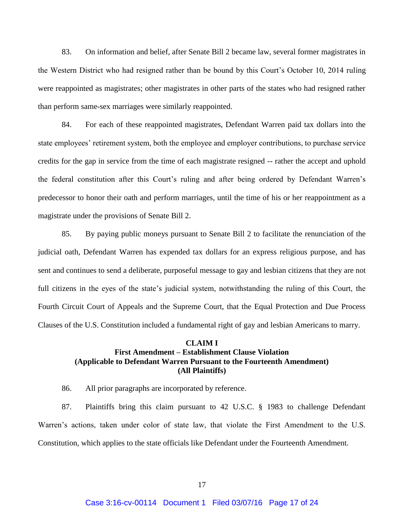83. On information and belief, after Senate Bill 2 became law, several former magistrates in the Western District who had resigned rather than be bound by this Court's October 10, 2014 ruling were reappointed as magistrates; other magistrates in other parts of the states who had resigned rather than perform same-sex marriages were similarly reappointed.

84. For each of these reappointed magistrates, Defendant Warren paid tax dollars into the state employees' retirement system, both the employee and employer contributions, to purchase service credits for the gap in service from the time of each magistrate resigned -- rather the accept and uphold the federal constitution after this Court's ruling and after being ordered by Defendant Warren's predecessor to honor their oath and perform marriages, until the time of his or her reappointment as a magistrate under the provisions of Senate Bill 2.

85. By paying public moneys pursuant to Senate Bill 2 to facilitate the renunciation of the judicial oath, Defendant Warren has expended tax dollars for an express religious purpose, and has sent and continues to send a deliberate, purposeful message to gay and lesbian citizens that they are not full citizens in the eyes of the state's judicial system, notwithstanding the ruling of this Court, the Fourth Circuit Court of Appeals and the Supreme Court, that the Equal Protection and Due Process Clauses of the U.S. Constitution included a fundamental right of gay and lesbian Americans to marry.

### **CLAIM I First Amendment – Establishment Clause Violation (Applicable to Defendant Warren Pursuant to the Fourteenth Amendment) (All Plaintiffs)**

86. All prior paragraphs are incorporated by reference.

87. Plaintiffs bring this claim pursuant to 42 U.S.C. § 1983 to challenge Defendant Warren's actions, taken under color of state law, that violate the First Amendment to the U.S. Constitution, which applies to the state officials like Defendant under the Fourteenth Amendment.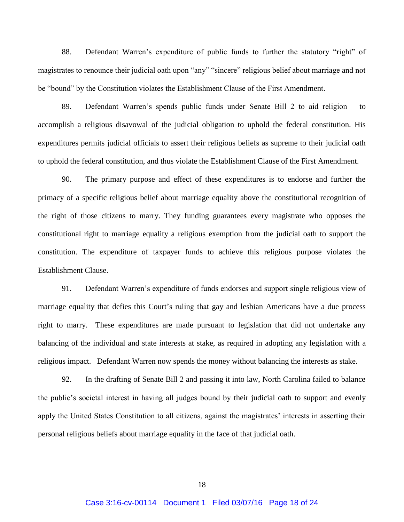88. Defendant Warren's expenditure of public funds to further the statutory "right" of magistrates to renounce their judicial oath upon "any" "sincere" religious belief about marriage and not be "bound" by the Constitution violates the Establishment Clause of the First Amendment.

89. Defendant Warren's spends public funds under Senate Bill 2 to aid religion – to accomplish a religious disavowal of the judicial obligation to uphold the federal constitution. His expenditures permits judicial officials to assert their religious beliefs as supreme to their judicial oath to uphold the federal constitution, and thus violate the Establishment Clause of the First Amendment.

90. The primary purpose and effect of these expenditures is to endorse and further the primacy of a specific religious belief about marriage equality above the constitutional recognition of the right of those citizens to marry. They funding guarantees every magistrate who opposes the constitutional right to marriage equality a religious exemption from the judicial oath to support the constitution. The expenditure of taxpayer funds to achieve this religious purpose violates the Establishment Clause.

91. Defendant Warren's expenditure of funds endorses and support single religious view of marriage equality that defies this Court's ruling that gay and lesbian Americans have a due process right to marry. These expenditures are made pursuant to legislation that did not undertake any balancing of the individual and state interests at stake, as required in adopting any legislation with a religious impact. Defendant Warren now spends the money without balancing the interests as stake.

92. In the drafting of Senate Bill 2 and passing it into law, North Carolina failed to balance the public's societal interest in having all judges bound by their judicial oath to support and evenly apply the United States Constitution to all citizens, against the magistrates' interests in asserting their personal religious beliefs about marriage equality in the face of that judicial oath.

18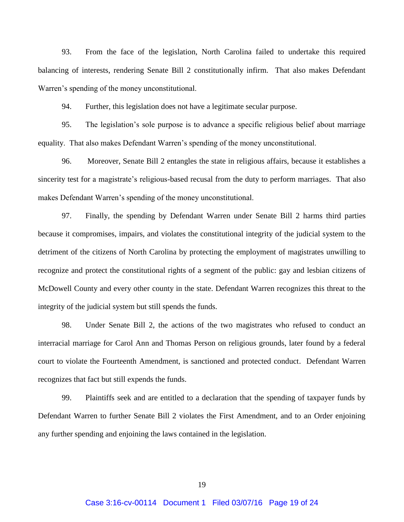93. From the face of the legislation, North Carolina failed to undertake this required balancing of interests, rendering Senate Bill 2 constitutionally infirm. That also makes Defendant Warren's spending of the money unconstitutional.

94. Further, this legislation does not have a legitimate secular purpose.

95. The legislation's sole purpose is to advance a specific religious belief about marriage equality. That also makes Defendant Warren's spending of the money unconstitutional.

96. Moreover, Senate Bill 2 entangles the state in religious affairs, because it establishes a sincerity test for a magistrate's religious-based recusal from the duty to perform marriages. That also makes Defendant Warren's spending of the money unconstitutional.

97. Finally, the spending by Defendant Warren under Senate Bill 2 harms third parties because it compromises, impairs, and violates the constitutional integrity of the judicial system to the detriment of the citizens of North Carolina by protecting the employment of magistrates unwilling to recognize and protect the constitutional rights of a segment of the public: gay and lesbian citizens of McDowell County and every other county in the state. Defendant Warren recognizes this threat to the integrity of the judicial system but still spends the funds.

98. Under Senate Bill 2, the actions of the two magistrates who refused to conduct an interracial marriage for Carol Ann and Thomas Person on religious grounds, later found by a federal court to violate the Fourteenth Amendment, is sanctioned and protected conduct. Defendant Warren recognizes that fact but still expends the funds.

99. Plaintiffs seek and are entitled to a declaration that the spending of taxpayer funds by Defendant Warren to further Senate Bill 2 violates the First Amendment, and to an Order enjoining any further spending and enjoining the laws contained in the legislation.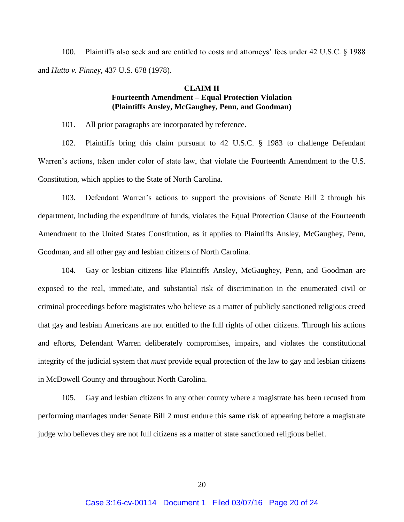100. Plaintiffs also seek and are entitled to costs and attorneys' fees under 42 U.S.C. § 1988 and *Hutto v. Finney,* 437 U.S. 678 (1978).

# **CLAIM II Fourteenth Amendment – Equal Protection Violation (Plaintiffs Ansley, McGaughey, Penn, and Goodman)**

101. All prior paragraphs are incorporated by reference.

102. Plaintiffs bring this claim pursuant to 42 U.S.C. § 1983 to challenge Defendant Warren's actions, taken under color of state law, that violate the Fourteenth Amendment to the U.S. Constitution, which applies to the State of North Carolina.

103. Defendant Warren's actions to support the provisions of Senate Bill 2 through his department, including the expenditure of funds, violates the Equal Protection Clause of the Fourteenth Amendment to the United States Constitution, as it applies to Plaintiffs Ansley, McGaughey, Penn, Goodman, and all other gay and lesbian citizens of North Carolina.

104. Gay or lesbian citizens like Plaintiffs Ansley, McGaughey, Penn, and Goodman are exposed to the real, immediate, and substantial risk of discrimination in the enumerated civil or criminal proceedings before magistrates who believe as a matter of publicly sanctioned religious creed that gay and lesbian Americans are not entitled to the full rights of other citizens. Through his actions and efforts, Defendant Warren deliberately compromises, impairs, and violates the constitutional integrity of the judicial system that *must* provide equal protection of the law to gay and lesbian citizens in McDowell County and throughout North Carolina.

105. Gay and lesbian citizens in any other county where a magistrate has been recused from performing marriages under Senate Bill 2 must endure this same risk of appearing before a magistrate judge who believes they are not full citizens as a matter of state sanctioned religious belief.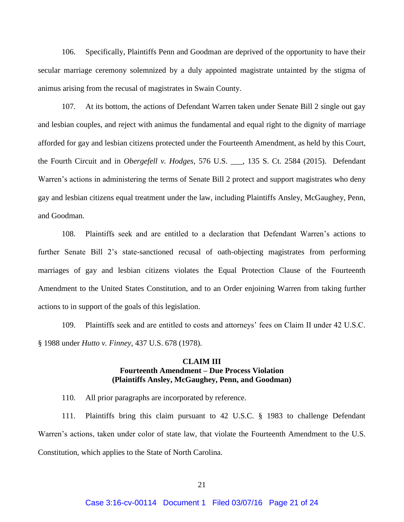106. Specifically, Plaintiffs Penn and Goodman are deprived of the opportunity to have their secular marriage ceremony solemnized by a duly appointed magistrate untainted by the stigma of animus arising from the recusal of magistrates in Swain County.

107. At its bottom, the actions of Defendant Warren taken under Senate Bill 2 single out gay and lesbian couples, and reject with animus the fundamental and equal right to the dignity of marriage afforded for gay and lesbian citizens protected under the Fourteenth Amendment, as held by this Court, the Fourth Circuit and in *Obergefell v. Hodges*, 576 U.S. \_\_\_, 135 S. Ct. 2584 (2015). Defendant Warren's actions in administering the terms of Senate Bill 2 protect and support magistrates who deny gay and lesbian citizens equal treatment under the law, including Plaintiffs Ansley, McGaughey, Penn, and Goodman.

108. Plaintiffs seek and are entitled to a declaration that Defendant Warren's actions to further Senate Bill 2's state-sanctioned recusal of oath-objecting magistrates from performing marriages of gay and lesbian citizens violates the Equal Protection Clause of the Fourteenth Amendment to the United States Constitution, and to an Order enjoining Warren from taking further actions to in support of the goals of this legislation.

109. Plaintiffs seek and are entitled to costs and attorneys' fees on Claim II under 42 U.S.C. § 1988 under *Hutto v. Finney,* 437 U.S. 678 (1978).

## **CLAIM III Fourteenth Amendment – Due Process Violation (Plaintiffs Ansley, McGaughey, Penn, and Goodman)**

110. All prior paragraphs are incorporated by reference.

111. Plaintiffs bring this claim pursuant to 42 U.S.C. § 1983 to challenge Defendant Warren's actions, taken under color of state law, that violate the Fourteenth Amendment to the U.S. Constitution, which applies to the State of North Carolina.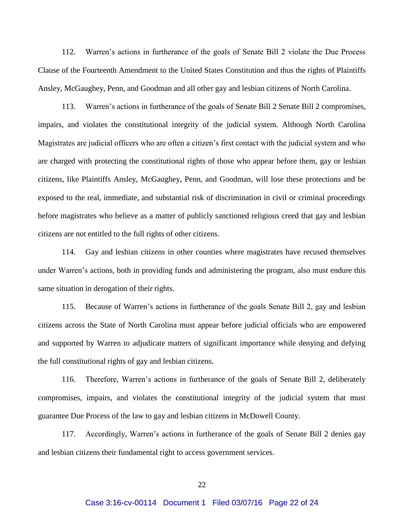112. Warren's actions in furtherance of the goals of Senate Bill 2 violate the Due Process Clause of the Fourteenth Amendment to the United States Constitution and thus the rights of Plaintiffs Ansley, McGaughey, Penn, and Goodman and all other gay and lesbian citizens of North Carolina.

113. Warren's actions in furtherance of the goals of Senate Bill 2 Senate Bill 2 compromises, impairs, and violates the constitutional integrity of the judicial system. Although North Carolina Magistrates are judicial officers who are often a citizen's first contact with the judicial system and who are charged with protecting the constitutional rights of those who appear before them, gay or lesbian citizens, like Plaintiffs Ansley, McGaughey, Penn, and Goodman, will lose these protections and be exposed to the real, immediate, and substantial risk of discrimination in civil or criminal proceedings before magistrates who believe as a matter of publicly sanctioned religious creed that gay and lesbian citizens are not entitled to the full rights of other citizens.

114. Gay and lesbian citizens in other counties where magistrates have recused themselves under Warren's actions, both in providing funds and administering the program, also must endure this same situation in derogation of their rights.

115. Because of Warren's actions in furtherance of the goals Senate Bill 2, gay and lesbian citizens across the State of North Carolina must appear before judicial officials who are empowered and supported by Warren to adjudicate matters of significant importance while denying and defying the full constitutional rights of gay and lesbian citizens.

116. Therefore, Warren's actions in furtherance of the goals of Senate Bill 2, deliberately compromises, impairs, and violates the constitutional integrity of the judicial system that must guarantee Due Process of the law to gay and lesbian citizens in McDowell County.

117. Accordingly, Warren's actions in furtherance of the goals of Senate Bill 2 denies gay and lesbian citizens their fundamental right to access government services.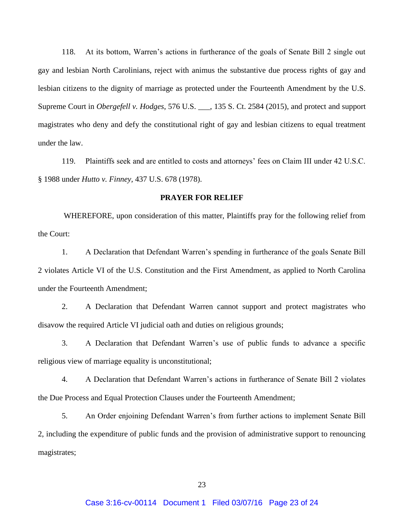118. At its bottom, Warren's actions in furtherance of the goals of Senate Bill 2 single out gay and lesbian North Carolinians, reject with animus the substantive due process rights of gay and lesbian citizens to the dignity of marriage as protected under the Fourteenth Amendment by the U.S. Supreme Court in *Obergefell v. Hodges*, 576 U.S. \_\_\_, 135 S. Ct. 2584 (2015), and protect and support magistrates who deny and defy the constitutional right of gay and lesbian citizens to equal treatment under the law.

119. Plaintiffs seek and are entitled to costs and attorneys' fees on Claim III under 42 U.S.C. § 1988 under *Hutto v. Finney,* 437 U.S. 678 (1978).

#### **PRAYER FOR RELIEF**

WHEREFORE, upon consideration of this matter, Plaintiffs pray for the following relief from the Court:

1. A Declaration that Defendant Warren's spending in furtherance of the goals Senate Bill 2 violates Article VI of the U.S. Constitution and the First Amendment, as applied to North Carolina under the Fourteenth Amendment;

2. A Declaration that Defendant Warren cannot support and protect magistrates who disavow the required Article VI judicial oath and duties on religious grounds;

3. A Declaration that Defendant Warren's use of public funds to advance a specific religious view of marriage equality is unconstitutional;

4. A Declaration that Defendant Warren's actions in furtherance of Senate Bill 2 violates the Due Process and Equal Protection Clauses under the Fourteenth Amendment;

5. An Order enjoining Defendant Warren's from further actions to implement Senate Bill 2, including the expenditure of public funds and the provision of administrative support to renouncing magistrates;